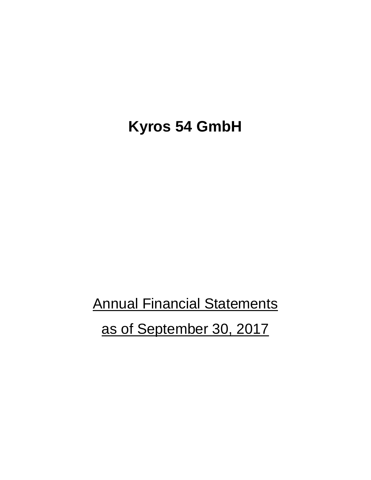## **Kyros 54 GmbH**

**Annual Financial Statements** as of September 30, 2017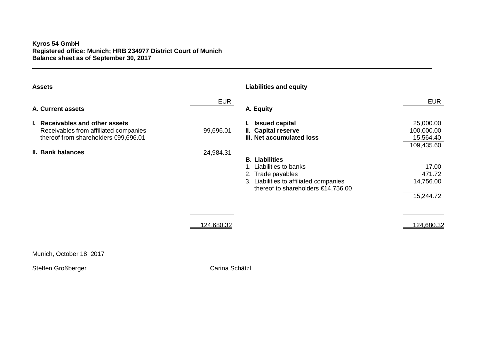## **Kyros 54 GmbH Registered office: Munich; HRB 234977 District Court of Munich Balance sheet as of September 30, 2017**

| <b>Assets</b>                                                                                                    |            | <b>Liabilities and equity</b>                                                                                                                      |                                                       |
|------------------------------------------------------------------------------------------------------------------|------------|----------------------------------------------------------------------------------------------------------------------------------------------------|-------------------------------------------------------|
| A. Current assets                                                                                                | <b>EUR</b> | A. Equity                                                                                                                                          | <b>EUR</b>                                            |
| I. Receivables and other assets<br>Receivables from affiliated companies<br>thereof from shareholders €99,696.01 | 99,696.01  | <b>Issued capital</b><br>II. Capital reserve<br>III. Net accumulated loss                                                                          | 25,000.00<br>100,000.00<br>$-15,564.40$<br>109,435.60 |
| II. Bank balances                                                                                                | 24,984.31  | <b>B.</b> Liabilities<br>Liabilities to banks<br>2. Trade payables<br>3. Liabilities to affiliated companies<br>thereof to shareholders €14,756.00 | 17.00<br>471.72<br>14,756.00<br>15,244.72             |
|                                                                                                                  | 124,680.32 |                                                                                                                                                    | <u>124,680.32</u>                                     |

Munich, October 18, 2017

Steffen Großberger Carina Schätzl